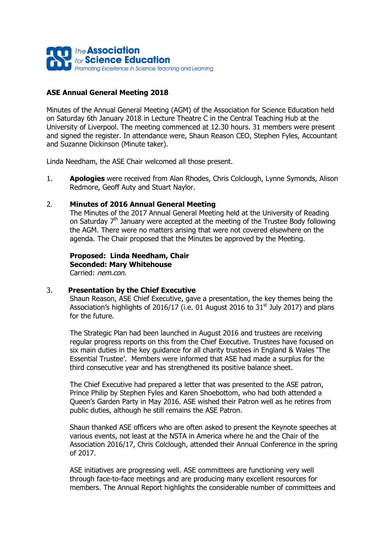

## **ASE Annual General Meeting 2018**

Minutes of the Annual General Meeting (AGM) of the Association for Science Education held on Saturday 6th January 2018 in Lecture Theatre C in the Central Teaching Hub at the University of Liverpool. The meeting commenced at 12.30 hours. 31 members were present and signed the register. In attendance were, Shaun Reason CEO, Stephen Fyles, Accountant and Suzanne Dickinson (Minute taker).

Linda Needham, the ASE Chair welcomed all those present.

1. **Apologies** were received from Alan Rhodes, Chris Colclough, Lynne Symonds, Alison Redmore, Geoff Auty and Stuart Naylor.

#### 2. **Minutes of 2016 Annual General Meeting**

The Minutes of the 2017 Annual General Meeting held at the University of Reading on Saturday 7<sup>th</sup> January were accepted at the meeting of the Trustee Body following the AGM. There were no matters arising that were not covered elsewhere on the agenda. The Chair proposed that the Minutes be approved by the Meeting.

**Proposed: Linda Needham, Chair Seconded: Mary Whitehouse** Carried: nem.con.

#### 3. **Presentation by the Chief Executive**

Shaun Reason, ASE Chief Executive, gave a presentation, the key themes being the Association's highlights of 2016/17 (i.e. 01 August 2016 to  $31<sup>st</sup>$  July 2017) and plans for the future.

The Strategic Plan had been launched in August 2016 and trustees are receiving regular progress reports on this from the Chief Executive. Trustees have focused on six main duties in the key guidance for all charity trustees in England & Wales 'The Essential Trustee'. Members were informed that ASE had made a surplus for the third consecutive year and has strengthened its positive balance sheet.

The Chief Executive had prepared a letter that was presented to the ASE patron, Prince Philip by Stephen Fyles and Karen Shoebottom, who had both attended a Queen's Garden Party in May 2016. ASE wished their Patron well as he retires from public duties, although he still remains the ASE Patron.

Shaun thanked ASE officers who are often asked to present the Keynote speeches at various events, not least at the NSTA in America where he and the Chair of the Association 2016/17, Chris Colclough, attended their Annual Conference in the spring of 2017.

ASE initiatives are progressing well. ASE committees are functioning very well through face-to-face meetings and are producing many excellent resources for members. The Annual Report highlights the considerable number of committees and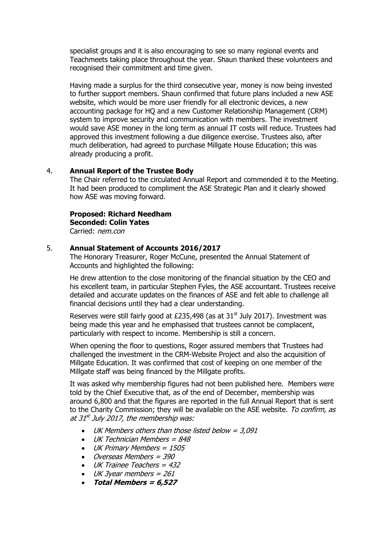specialist groups and it is also encouraging to see so many regional events and Teachmeets taking place throughout the year. Shaun thanked these volunteers and recognised their commitment and time given.

Having made a surplus for the third consecutive year, money is now being invested to further support members. Shaun confirmed that future plans included a new ASE website, which would be more user friendly for all electronic devices, a new accounting package for HQ and a new Customer Relationship Management (CRM) system to improve security and communication with members. The investment would save ASE money in the long term as annual IT costs will reduce. Trustees had approved this investment following a due diligence exercise. Trustees also, after much deliberation, had agreed to purchase Millgate House Education; this was already producing a profit.

#### 4. **Annual Report of the Trustee Body**

The Chair referred to the circulated Annual Report and commended it to the Meeting. It had been produced to compliment the ASE Strategic Plan and it clearly showed how ASE was moving forward.

## **Proposed: Richard Needham Seconded: Colin Yates**

Carried: nem.con

#### 5. **Annual Statement of Accounts 2016/2017**

The Honorary Treasurer, Roger McCune, presented the Annual Statement of Accounts and highlighted the following:

He drew attention to the close monitoring of the financial situation by the CEO and his excellent team, in particular Stephen Fyles, the ASE accountant. Trustees receive detailed and accurate updates on the finances of ASE and felt able to challenge all financial decisions until they had a clear understanding.

Reserves were still fairly good at £235,498 (as at  $31<sup>st</sup>$  July 2017). Investment was being made this year and he emphasised that trustees cannot be complacent, particularly with respect to income. Membership is still a concern.

When opening the floor to questions, Roger assured members that Trustees had challenged the investment in the CRM-Website Project and also the acquisition of Millgate Education. It was confirmed that cost of keeping on one member of the Millgate staff was being financed by the Millgate profits.

It was asked why membership figures had not been published here. Members were told by the Chief Executive that, as of the end of December, membership was around 6,800 and that the figures are reported in the full Annual Report that is sent to the Charity Commission; they will be available on the ASE website. To confirm, as at 31st July 2017, the membership was:

- $\bullet$  UK Members others than those listed below = 3,091
- $\bullet$  UK Technician Members = 848
- UK Primary Members = 1505
- Overseas Members = 390
- UK Trainee Teachers = 432
- $\bullet$  UK 3year members = 261
- **Total Members = 6,527**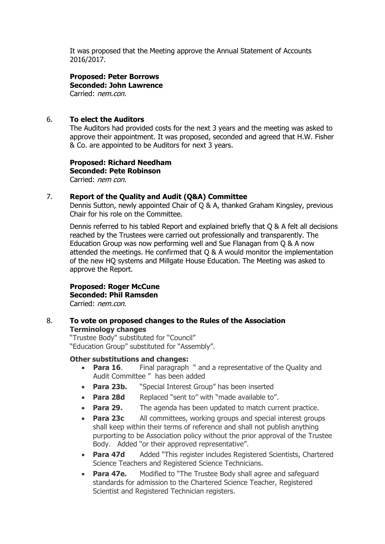It was proposed that the Meeting approve the Annual Statement of Accounts 2016/2017.

#### **Proposed: Peter Borrows Seconded: John Lawrence** Carried: nem.con.

## 6. **To elect the Auditors**

The Auditors had provided costs for the next 3 years and the meeting was asked to approve their appointment. It was proposed, seconded and agreed that H.W. Fisher & Co. are appointed to be Auditors for next 3 years.

#### **Proposed: Richard Needham Seconded: Pete Robinson** Carried: nem con.

#### 7. **Report of the Quality and Audit (Q&A) Committee**

Dennis Sutton, newly appointed Chair of Q & A, thanked Graham Kingsley, previous Chair for his role on the Committee.

Dennis referred to his tabled Report and explained briefly that Q & A felt all decisions reached by the Trustees were carried out professionally and transparently. The Education Group was now performing well and Sue Flanagan from Q & A now attended the meetings. He confirmed that Q & A would monitor the implementation of the new HQ systems and Millgate House Education. The Meeting was asked to approve the Report.

## **Proposed: Roger McCune Seconded: Phil Ramsden**

Carried: nem.con.

#### 8. **To vote on proposed changes to the Rules of the Association Terminology changes**

"Trustee Body" substituted for "Council" "Education Group" substituted for "Assembly".

#### **Other substitutions and changes:**

- **Para 16.** Final paragraph " and a representative of the Quality and Audit Committee " has been added
- **Para 23b.** "Special Interest Group" has been inserted
- **Para 28d** Replaced "sent to" with "made available to".
- **Para 29.** The agenda has been updated to match current practice.
- **Para 23c** All committees, working groups and special interest groups shall keep within their terms of reference and shall not publish anything purporting to be Association policy without the prior approval of the Trustee Body. Added "or their approved representative".
- **Para 47d** Added "This register includes Registered Scientists, Chartered Science Teachers and Registered Science Technicians.
- Para 47e. Modified to "The Trustee Body shall agree and safeguard standards for admission to the Chartered Science Teacher, Registered Scientist and Registered Technician registers.